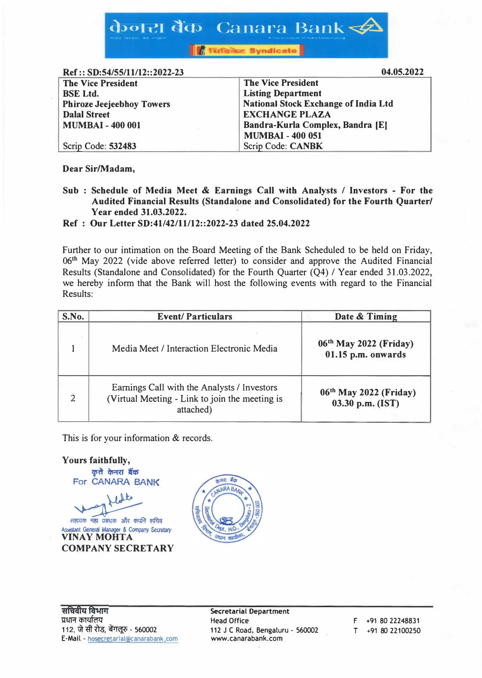केजरा बैंक Canara Bank

**Tanza Syndicate** 

 $Ref \cdot S D \cdot 54/55/11/12 \cdot 2022.23$ 

| <b>The Vice President</b>        | <b>The Vice President</b>                   |
|----------------------------------|---------------------------------------------|
| <b>BSE Ltd.</b>                  | <b>Listing Department</b>                   |
| <b>Phiroze Jeejeebhoy Towers</b> | <b>National Stock Exchange of India Ltd</b> |
| <b>Dalal Street</b>              | <b>EXCHANGE PLAZA</b>                       |
| <b>MUMBAI - 400 001</b>          | Bandra-Kurla Complex, Bandra [E]            |
|                                  | <b>MUMBAI - 400 051</b>                     |
| Scrip Code: 532483               | Scrip Code: CANBK                           |

Dear Sir/Madam,

Sub: Schedule of Media Meet & Earnings Call with Analysts / Investors - For the Audited Financial Results (Standalone and Consolidated) for the Fourth Quarter/ Year ended 31.03.2022.

Ref: Our Letter SD:41/42/11/12::2022-23 dated 25.04.2022

Further to our intimation on the Board Meeting of the Bank Scheduled to be held on Friday, 06<sup>th</sup> May 2022 (vide above referred letter) to consider and approve the Audited Financial Results (Standalone and Consolidated) for the Fourth Quarter (Q4) / Year ended 31.03.2022, we hereby inform that the Bank will host the following events with regard to the Financial Results:

| S.No. | <b>Event/Particulars</b>                                                                                   | Date & Timing                                              |
|-------|------------------------------------------------------------------------------------------------------------|------------------------------------------------------------|
|       | Media Meet / Interaction Electronic Media                                                                  | 06 <sup>th</sup> May 2022 (Friday)<br>$01.15$ p.m. onwards |
| 2     | Earnings Call with the Analysts / Investors<br>(Virtual Meeting - Link to join the meeting is<br>attached) | 06th May 2022 (Friday)<br>03.30 p.m. (IST)                 |

This is for your information & records.





**Secretarial Department Head Office** 112 J C Road, Bengaluru - 560002 www.canarabank.com

F +91 80 22248831 T +91 80 22100250

04.05.2022